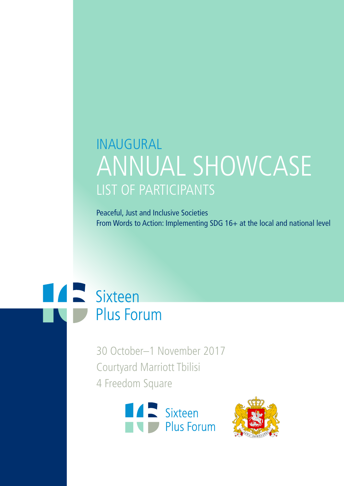# INAUGURAL ANNUAL SHOWCASE LIST OF PARTICIPANTS

Peaceful, Just and Inclusive Societies From Words to Action: Implementing SDG 16+ at the local and national level



30 October–1 November 2017 Courtyard Marriott Tbilisi 4 Freedom Square



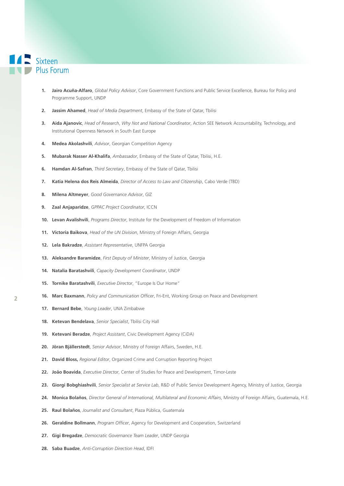### Sixteen **Plus Forum**

- **1. Jairo Acuña-Alfaro**, *Global Policy Advisor*, Core Government Functions and Public Service Excellence, Bureau for Policy and Programme Support, UNDP
- **2. Jassim Ahamed**, *Head of Media Department*, Embassy of the State of Qatar, Tbilisi
- **3. Aida Ajanovic**, *Head of Research*, *Why Not and National Coordinator*, Action SEE Network Accountability, Technology, and Institutional Openness Network in South East Europe
- **4. Medea Akolashvili**, *Advisor*, Georgian Competition Agency
- **5. Mubarak Nasser Al-Khalifa**, *Ambassador*, Embassy of the State of Qatar, Tbilisi, H.E.
- **6. Hamdan Al-Safran**, *Third Secretary*, Embassy of the State of Qatar, Tbilisi
- **7. Katia Helena dos Reis Almeida**, *Director of Access to Law and Citizenship*, Cabo Verde (TBD)
- **8. Milena Altmeyer**, *Good Governance Advisor*, GIZ
- **9. Zaal Anjaparidze**, *GPPAC Project Coordinator*, ICCN
- **10. Levan Avalishvili**, *Programs Director*, Institute for the Development of Freedom of Information
- **11. Victoria Baikova**, *Head of the UN Division*, Ministry of Foreign Affairs, Georgia
- **12. Lela Bakradze**, *Assistant Representative*, UNFPA Georgia
- **13. Aleksandre Baramidze**, *First Deputy of Minister*, Ministry of Justice, Georgia
- **14. Natalia Baratashvili**, *Capacity Development Coordinator*, UNDP
- **15. Tornike Baratashvili**, *Executive Director*, "Europe Is Our Home"
- **16. Marc Baxmann**, *Policy and Communication Officer*, Fri-Ent, Working Group on Peace and Development
- **17. Bernard Bebe**, *Young Leader*, UNA Zimbabwe
- **18. Ketevan Bendelava**, *Senior Specialist*, Tbilisi City Hall
- **19. Ketevani Beradze**, *Project Assistant*, Civic Development Agency (CiDA)
- **20. Jöran Bjällerstedt**, *Senior Advisor*, Ministry of Foreign Affairs, Sweden, H.E.
- **21. David Bloss,** *Regional Editor*, Organized Crime and Corruption Reporting Project
- **22. João Boavida**, *Executive Director*, Center of Studies for Peace and Development, Timor-Leste
- **23. Giorgi Bobghiashvili**, *Senior Specialist at Service Lab*, R&D of Public Service Development Agency, Ministry of Justice, Georgia
- **24. Monica Bolaños**, *Director General of International, Multilateral and Economic Affairs*, Ministry of Foreign Affairs, Guatemala, H.E.
- **25. Raul Bolaños**, *Journalist and Consultant*, Plaza Pública, Guatemala
- **26. Geraldine Bollmann**, *Program Officer*, Agency for Development and Cooperation, Switzerland
- **27. Gigi Bregadze**, *Democratic Governance Team Leader*, UNDP Georgia
- **28. Saba Buadze**, *Anti-Corruption Direction Head*, IDFI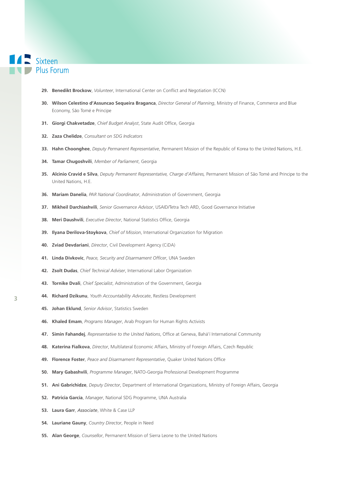- **29. Benedikt Brockow**, *Volunteer*, International Center on Conflict and Negotiation (ICCN)
- **30. Wilson Celestino d'Assuncao Sequeira Braganca**, *Director General of Planning*, Ministry of Finance, Commerce and Blue Economy, São Tomé e Principe
- **31. Giorgi Chakvetadze**, *Chief Budget Analyst*, State Audit Office, Georgia
- **32. Zaza Chelidze**, *Consultant on SDG Indicators*
- **33. Hahn Choonghee**, *Deputy Permanent Representative*, Permanent Mission of the Republic of Korea to the United Nations, H.E.
- **34. Tamar Chugoshvili**, *Member of Parliament*, Georgia
- **35. Alcinio Cravid e Silva**, *Deputy Permanent Representative, Charge d'Affaires,* Permanent Mission of São Tomé and Principe to the United Nations, H.E.
- **36. Mariam Danelia**, *PAR National Coordinator*, Administration of Government, Georgia
- **37. Mikheil Darchiashvili**, *Senior Governance Advisor*, USAID/Tetra Tech ARD, Good Governance Initiative
- **38. Meri Daushvili**, *Executive Director*, National Statistics Office, Georgia
- **39. Ilyana Derilova-Stoykova**, *Chief of Mission*, International Organization for Migration
- **40. Zviad Devdariani**, *Director*, Civil Development Agency (CiDA)
- **41. Linda Divkovic**, *Peace, Security and Disarmament Officer*, UNA Sweden
- **42. Zsolt Dudas**, *Chief Technical Adviser*, International Labor Organization
- **43. Tornike Dvali**, *Chief Specialist*, Administration of the Government, Georgia
- **44. Richard Dzikunu**, *Youth Accountability Advocate*, Restless Development
- **45. Johan Eklund**, *Senior Advisor*, Statistics Sweden
- **46. Khaled Emam**, *Programs Manager*, Arab Program for Human Rights Activists
- **47. Simin Fahandej**, *Representative to the United Nations*, Office at Geneva, Bahá'í International Community
- **48. Katerina Fialkova**, *Director*, Multilateral Economic Affairs, Ministry of Foreign Affairs, Czech Republic
- **49. Florence Foster**, *Peace and Disarmament Representative*, Quaker United Nations Office
- **50. Mary Gabashvili**, *Programme Manager*, NATO-Georgia Professional Development Programme
- **51. Ani Gabrichidze**, *Deputy Director*, Department of International Organizations, Ministry of Foreign Affairs, Georgia
- **52. Patricia Garcia**, *Manager*, National SDG Programme, UNA Australia
- **53. Laura Garr**, *Associate*, White & Case LLP
- **54. Lauriane Gauny**, *Country Director*, People in Need
- **55. Alan George**, *Counsellor*, Permanent Mission of Sierra Leone to the United Nations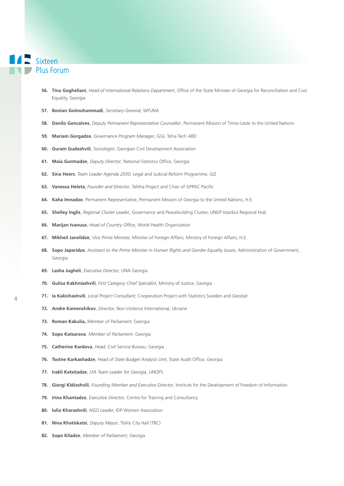- Sixteen Plus Forum
	- **56. Tina Gogheliani**, *Head of International Relations Department*, Office of the State Minister of Georgia for Reconciliation and Civic Equality, Georgia
	- **57. Bonian Golmohammadi**, *Secretary-General*, WFUNA
	- **58. Danilo Goncalves**, *Deputy Permanent Representative Counsellor*, Permanent Mission of Timor-Leste to the United Nations
	- **59. Mariam Gorgadze**, *Governance Program Manager*, GGI, Tetra Tech ARD
	- **60. Guram Gudashvili**, *Sociologist*, Georgian Civil Development Association
	- **61. Maia Guntsadze**, *Deputy Director*, National Statistics Office, Georgia
	- **62. Sina Heers**, *Team Leader Agenda 2030,* Legal and Judicial Reform Programme, GIZ
	- **63. Vanessa Heleta**, *Founder and Director*, Talitha Project and Chair of GPPAC Pacific
	- **64. Kaha Imnadze**, Permanent Representative, Permanent Mission of Georgia to the United Nations, H.E.
	- **65. Shelley Inglis**, *Regional Cluster Leader*, Governance and Peacebuilding Cluster, UNDP Istanbul Regional Hub
	- **66. Marijan Ivanusa**, *Head of Country Office*, World Health Organization
	- **67. Mikheil Janelidze**, *Vice Prime Minister, Minister of Foreign Affairs*, Ministry of Foreign Affairs, H.E.
	- **68. Sopo Japaridze**, *Assistant to the Prime Minister in Human Rights and Gender Equality Issues*, Administration of Government, Georgia
	- **69. Lasha Jugheli**, *Executive Director*, UNA Georgia
	- **70. Gulisa Kakhniashvili**, *First Category Chief Specialist*, Ministry of Justice, Georgia
	- **71. Ia Kakichashvili**, *Local Project Consultant*, Cooperation Project with Statistics Sweden and Geostat
	- **72. Andre Kamenshikov**, *Director*, Non-Violence International, Ukraine
	- **73. Roman Kakulia,** *Member of Parliament*, Georgia
	- **74. Sopo Katsarava**, *Member of Parliament*, Georgia
	- **75. Catherine Kardava**, *Head*, Civil Service Bureau, Georgia
	- **76. Tsotne Karkashadze**, *Head of State Budget Analysis Unit*, State Audit Office, Georgia
	- **77. Irakli Katsitadze**, *LFA Team Leader for Georgia*, UNOPS
	- **78. Giorgi Kldiashvili**, *Founding Member and Executive Director*, Institute for the Development of Freedom of Information
	- **79. Irina Khantadze**, *Executive Director*, Centre for Training and Consultancy
	- **80. Iulia Kharashvili**, *NGO Leader*, IDP Women Association
	- **81. Nina Khatiskatsi**, *Deputy Mayor*, Tbilisi City Hall (TBC)
	- **82. Sopo Kiladze**, *Member of Parliament*, Georgia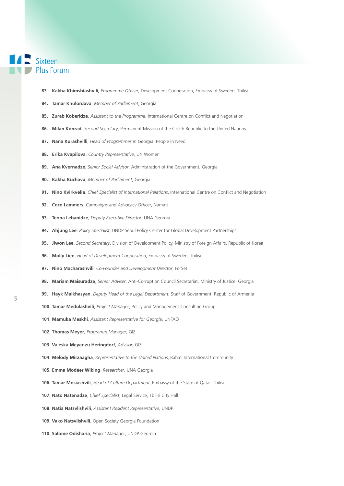#### 12 Sixteen **Plus Forum**

- **83. Kakha Khimshiashvili,** *Programme Officer*, Development Cooperation, Embassy of Sweden, Tbilisi
- **84. Tamar Khulordava**, *Member of Parliament*, Georgia
- **85. Zurab Koberidze**, *Assistant to the Programme*, International Centre on Conflict and Negotiation
- **86. Milan Konrad**, *Second Secretary*, Permanent Mission of the Czech Republic to the United Nations
- **87. Nana Kurashvilli**, *Head of Programmes in Georgia*, People in Need
- **88. Erika Kvapilova**, *Country Representative*, UN Women
- **89. Ana Kvernadze**, *Senior Social Advisor*, Administration of the Government, Georgia
- **90. Kakha Kuchava**, *Member of Parliament*, Georgia
- **91. Nino Kvirkvelia**, *Chief Specialist of International Relations*, International Centre on Conflict and Negotiation
- **92. Coco Lammers**, *Campaigns and Advocacy Officer*, Namati
- **93. Teona Lebanidze**, *Deputy Executive Director*, UNA Georgia
- **94. Ahjung Lee**, *Policy Specialist*, UNDP Seoul Policy Center for Global Development Partnerships
- **95. Jiwon Lee**, *Second Secretary*, Division of Development Policy, Ministry of Foreign Affairs, Republic of Korea
- **96. Molly Lien**, *Head of Development Cooperation*, Embassy of Sweden, Tbilisi
- **97. Nino Macharashvili**, *Co-Founder and Development Director*, ForSet
- **98. Mariam Maisuradze**, *Senior Adviser*, Anti-Corruption Council Secretariat, Ministry of Justice, Georgia
- **99. Hayk Malkhasyan**, *Deputy Head of the Legal Department*, Staff of Government, Republic of Armenia
- **100. Tamar Medulashvili**, *Project Manager*, Policy and Management Consulting Group
- **101. Mamuka Meskhi**, *Assistant Representative for Georgia*, UNFAO
- **102. Thomas Meyer**, *Programm Manager*, GIZ
- **103. Valeska Meyer zu Heringdorf**, *Advisor*, GIZ
- **104. Melody Mirzaagha**, *Representative to the United Nations*, Bahá'í International Community
- **105. Emma Modéer Wiking**, *Researcher*, UNA Georgia
- **106. Tamar Mosiashvili**, *Head of Culture Department*, Embassy of the State of Qatar, Tbilisi
- **107. Nato Natenadze**, *Chief Specialist*, Legal Service, Tbilisi City Hall
- **108. Natia Natsvlishvili**, *Assistant Resident Representative*, UNDP
- **109. Vako Natsvlishvili**, Open Society Georgia Foundation
- **110. Salome Odisharia**, *Project Manager*, UNDP Georgia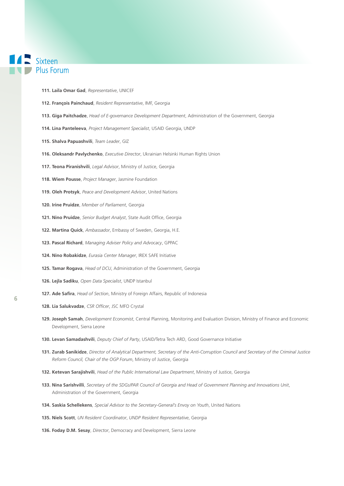#### **TAN Sixteen Plus Forum**

- **111. Laila Omar Gad**, *Representative*, UNICEF
- **112. François Painchaud**, *Resident Representative*, IMF, Georgia
- **113. Giga Paitchadze**, *Head of E-governance Development Department*, Administration of the Government, Georgia
- **114. Lina Panteleeva**, *Project Management Specialist*, USAID Georgia, UNDP
- **115. Shalva Papuashvili**, *Team Leader*, GIZ
- **116. Oleksandr Pavlychenko**, *Executive Director*, Ukrainian Helsinki Human Rights Union
- **117. Teona Piranishvili**, *Legal Advisor*, Ministry of Justice, Georgia
- **118. Wiem Pousse**, *Project Manager*, Jasmine Foundation
- **119. Oleh Protsyk**, *Peace and Development Advisor*, United Nations
- **120. Irine Pruidze**, *Member of Parliament*, Georgia
- **121. Nino Pruidze**, *Senior Budget Analyst*, State Audit Office, Georgia
- **122. Martina Quick**, *Ambassador*, Embassy of Sweden, Georgia, H.E.
- **123. Pascal Richard**, *Managing Adviser Policy and Advocacy*, GPPAC
- **124. Nino Robakidze**, *Eurasia Center Manager*, IREX SAFE Initiative
- **125. Tamar Rogava**, *Head of DCU*, Administration of the Government, Georgia
- **126. Lejla Sadiku**, *Open Data Specialist*, UNDP Istanbul
- **127. Ade Safira**, *Head of Section*, Ministry of Foreign Affairs, Republic of Indonesia
- **128. Lia Salukvadze**, *CSR Officer*, JSC MFO Crystal
- **129. Joseph Samah**, *Development Economist*, Central Planning, Monitoring and Evaluation Division, Ministry of Finance and Economic Development, Sierra Leone
- **130. Levan Samadashvili**, *Deputy Chief of Party*, USAID/Tetra Tech ARD, Good Governance Initiative
- **131. Zurab Sanikidze**, *Director of Analytical Department, Secretary of the Anti-Corruption Council and Secretary of the Criminal Justice Reform Council, Chair of the OGP Forum*, Ministry of Justice, Georgia
- **132. Ketevan Sarajishvili**, *Head of the Public International Law Department*, Ministry of Justice, Georgia
- **133. Nina Sarishvilli**, *Secretary of the SDGs/PAR Council of Georgia and Head of Government Planning and Innovations Unit*, Administration of the Government, Georgia
- **134. Saskia Schellekens**, *Special Advisor to the Secretary-General's Envoy on Youth*, United Nations
- **135. Niels Scott**, *UN Resident Coordinator*, *UNDP Resident Representative*, Georgia
- **136. Foday D.M. Sesay**, *Director*, Democracy and Development, Sierra Leone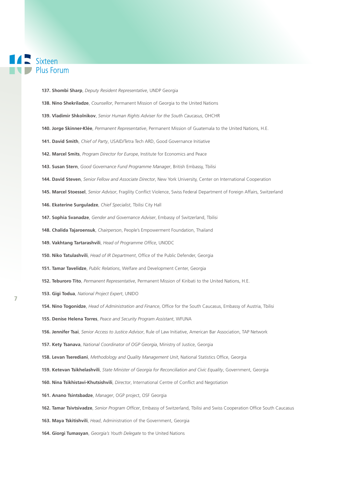### **TAN Sixteen Plus Forum**

- **137. Shombi Sharp**, *Deputy Resident Representative*, UNDP Georgia
- **138. Nino Shekriladze**, *Counsellor*, Permanent Mission of Georgia to the United Nations
- **139. Vladimir Shkolnikov**, *Senior Human Rights Adviser for the South Caucasus*, OHCHR
- **140. Jorge Skinner-Klée**, *Permanent Representative*, Permanent Mission of Guatemala to the United Nations, H.E.
- **141. David Smith**, *Chief of Party*, USAID/Tetra Tech ARD, Good Governance Initiative
- **142. Marcel Smits**, *Program Director for Europe*, Institute for Economics and Peace
- **143. Susan Stern**, *Good Governance Fund Programme Manager*, British Embassy, Tbilisi
- **144. David Steven**, *Senior Fellow and Associate Director*, New York University, Center on International Cooperation
- **145. Marcel Stoessel**, *Senior Advisor*, Fragility Conflict Violence, Swiss Federal Department of Foreign Affairs, Switzerland
- **146. Ekaterine Surguladze**, *Chief Specialist*, Tbilisi City Hall
- **147. Sophia Svanadze**, *Gender and Governance Adviser*, Embassy of Switzerland, Tbilisi
- **148. Chalida Tajaroensuk**, *Chairperson*, People's Empowerment Foundation, Thailand
- **149. Vakhtang Tartarashvili**, *Head of Programme Office*, UNODC
- **150. Niko Tatulashvili**, *Head of IR Department*, Office of the Public Defender, Georgia
- **151. Tamar Tavelidze**, *Public Relations*, Welfare and Development Center, Georgia
- **152. Teburoro Tito**, *Permanent Representative*, Permanent Mission of Kiribati to the United Nations, H.E.
- **153. Gigi Todua**, *National Project Expert*, UNIDO
- **154. Nino Togonidze**, *Head of Administration and Finance*, Office for the South Caucasus, Embassy of Austria, Tbilisi
- **155. Denise Helena Torres**, *Peace and Security Program Assistant*, WFUNA
- **156. Jennifer Tsai**, *Senior Access to Justice Advisor*, Rule of Law Initiative, American Bar Association, TAP Network
- **157. Kety Tsanava**, *National Coordinator of OGP Georgia*, Ministry of Justice, Georgia
- **158. Levan Tserediani**, *Methodology and Quality Management Unit*, National Statistics Office, Georgia
- **159. Ketevan Tsikhelashvili**, *State Minister of Georgia for Reconciliation and Civic Equality*, Government, Georgia
- **160. Nina Tsikhistavi-Khutsishvili**, *Director*, International Centre of Conflict and Negotiation
- **161. Anano Tsintsbadze**, *Manager*, OGP project, OSF Georgia
- **162. Tamar Tsivtsivadze**, *Senior Program Officer*, Embassy of Switzerland, Tbilisi and Swiss Cooperation Office South Caucasus
- **163. Maya Tskitishvili**, *Head*, Administration of the Government, Georgia
- **164. Giorgi Tumasyan**, *Georgia's Youth Delegate* to the United Nations